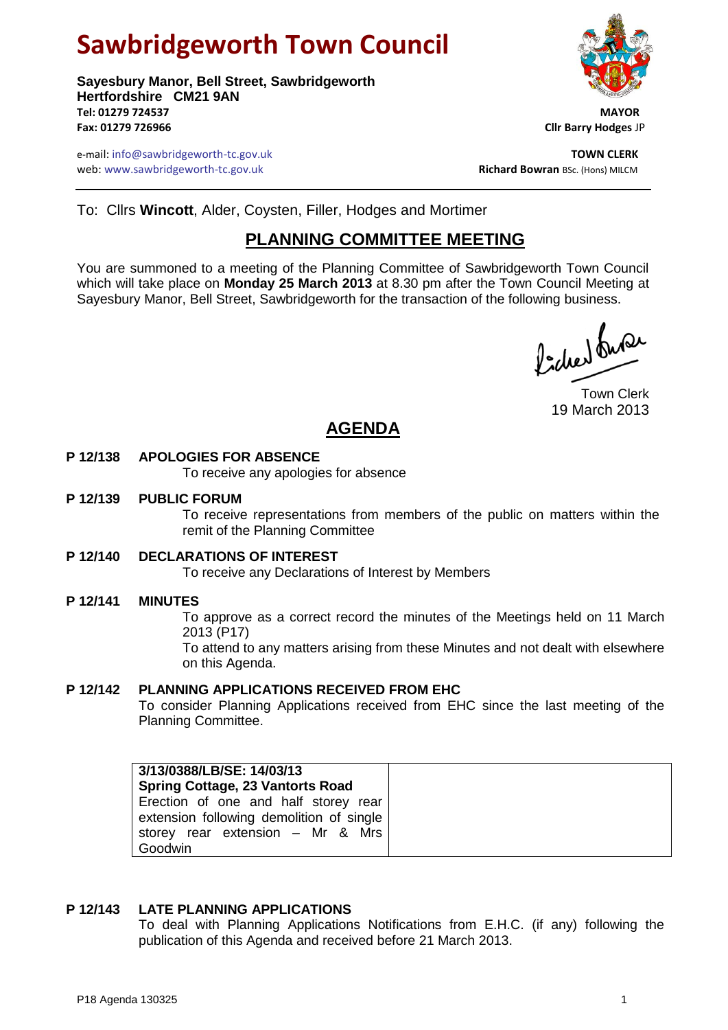# **Sawbridgeworth Town Council**

**Sayesbury Manor, Bell Street, Sawbridgeworth Hertfordshire CM21 9AN Tel: 01279 724537 MAYOR Fax: 01279 726966 Cllr Barry Hodges** JP

e-mail: info@sawbridgeworth-tc.gov.uk **TOWN CLERK** web: www.sawbridgeworth-tc.gov.uk<br> **Richard Bowran** BSc. (Hons) MILCM



To: Cllrs **Wincott**, Alder, Coysten, Filler, Hodges and Mortimer

## **PLANNING COMMITTEE MEETING**

You are summoned to a meeting of the Planning Committee of Sawbridgeworth Town Council which will take place on **Monday 25 March 2013** at 8.30 pm after the Town Council Meeting at Sayesbury Manor, Bell Street, Sawbridgeworth for the transaction of the following business.

Picked Super

Town Clerk 19 March 2013

## **AGENDA**

### **P 12/138 APOLOGIES FOR ABSENCE**

To receive any apologies for absence

#### **P 12/139 PUBLIC FORUM**

To receive representations from members of the public on matters within the remit of the Planning Committee

#### **P 12/140 DECLARATIONS OF INTEREST**

To receive any Declarations of Interest by Members

#### **P 12/141 MINUTES**

To approve as a correct record the minutes of the Meetings held on 11 March 2013 (P17)

To attend to any matters arising from these Minutes and not dealt with elsewhere on this Agenda.

#### **P 12/142 PLANNING APPLICATIONS RECEIVED FROM EHC**

To consider Planning Applications received from EHC since the last meeting of the Planning Committee.

| 3/13/0388/LB/SE: 14/03/13                |
|------------------------------------------|
| <b>Spring Cottage, 23 Vantorts Road</b>  |
| Erection of one and half storey rear     |
| extension following demolition of single |
| storey rear extension $-$ Mr & Mrs       |
| Goodwin                                  |

#### **P 12/143 LATE PLANNING APPLICATIONS**

To deal with Planning Applications Notifications from E.H.C. (if any) following the publication of this Agenda and received before 21 March 2013.